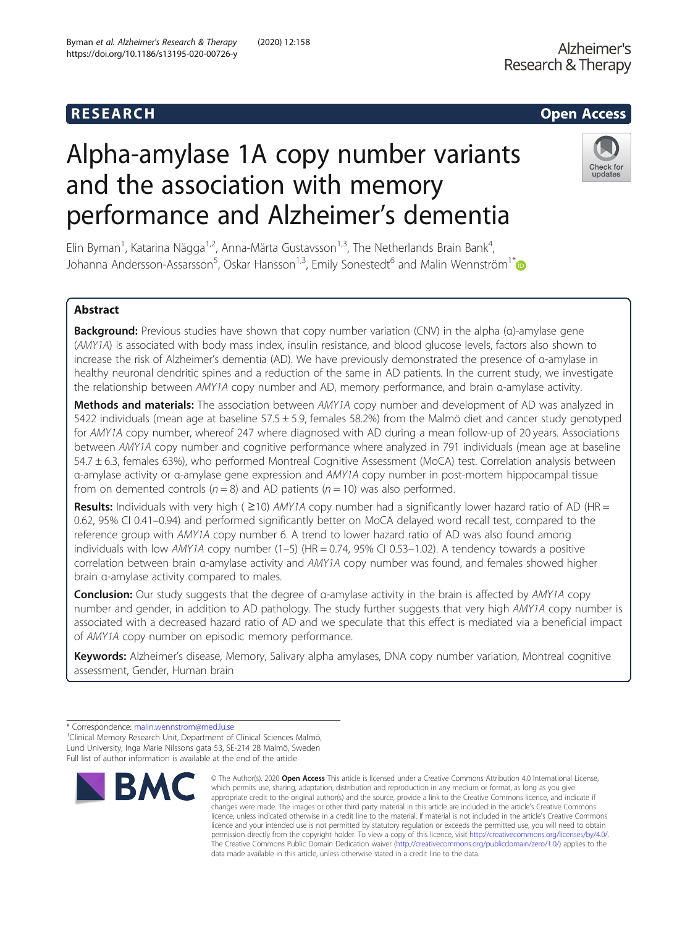# R E S EAR CH Open Access

# Alpha-amylase 1A copy number variants and the association with memory performance and Alzheimer's dementia



Elin Byman<sup>1</sup>, Katarina Nägga<sup>1,2</sup>, Anna-Märta Gustavsson<sup>1,3</sup>, The Netherlands Brain Bank<sup>4</sup> , Johanna Andersson-Assarsson<sup>5</sup>, Oskar Hansson<sup>1,3</sup>, Emily Sonestedt<sup>6</sup> and Malin Wennström<sup>1[\\*](http://orcid.org/0000-0002-9957-1801)</sup>

# Abstract

Background: Previous studies have shown that copy number variation (CNV) in the alpha (α)-amylase gene (AMY1A) is associated with body mass index, insulin resistance, and blood glucose levels, factors also shown to increase the risk of Alzheimer's dementia (AD). We have previously demonstrated the presence of α-amylase in healthy neuronal dendritic spines and a reduction of the same in AD patients. In the current study, we investigate the relationship between AMY1A copy number and AD, memory performance, and brain α-amylase activity.

Methods and materials: The association between AMY1A copy number and development of AD was analyzed in 5422 individuals (mean age at baseline  $57.5 \pm 5.9$ , females 58.2%) from the Malmö diet and cancer study genotyped for AMY1A copy number, whereof 247 where diagnosed with AD during a mean follow-up of 20 years. Associations between AMY1A copy number and cognitive performance where analyzed in 791 individuals (mean age at baseline 54.7 ± 6.3, females 63%), who performed Montreal Cognitive Assessment (MoCA) test. Correlation analysis between α-amylase activity or α-amylase gene expression and AMY1A copy number in post-mortem hippocampal tissue from on demented controls ( $n = 8$ ) and AD patients ( $n = 10$ ) was also performed.

Results: Individuals with very high ( $\geq$ 10) AMY1A copy number had a significantly lower hazard ratio of AD (HR = 0.62, 95% CI 0.41–0.94) and performed significantly better on MoCA delayed word recall test, compared to the reference group with AMY1A copy number 6. A trend to lower hazard ratio of AD was also found among individuals with low AMY1A copy number (1–5) (HR = 0.74, 95% CI 0.53–1.02). A tendency towards a positive correlation between brain α-amylase activity and AMY1A copy number was found, and females showed higher brain α-amylase activity compared to males.

**Conclusion:** Our study suggests that the degree of α-amylase activity in the brain is affected by AMY1A copy number and gender, in addition to AD pathology. The study further suggests that very high AMY1A copy number is associated with a decreased hazard ratio of AD and we speculate that this effect is mediated via a beneficial impact of AMY1A copy number on episodic memory performance.

Keywords: Alzheimer's disease, Memory, Salivary alpha amylases, DNA copy number variation, Montreal cognitive assessment, Gender, Human brain

<sup>&</sup>lt;sup>1</sup> Clinical Memory Research Unit, Department of Clinical Sciences Malmö, Lund University, Inga Marie Nilssons gata 53, SE-214 28 Malmö, Sweden Full list of author information is available at the end of the article



<sup>©</sup> The Author(s), 2020 **Open Access** This article is licensed under a Creative Commons Attribution 4.0 International License, which permits use, sharing, adaptation, distribution and reproduction in any medium or format, as long as you give appropriate credit to the original author(s) and the source, provide a link to the Creative Commons licence, and indicate if changes were made. The images or other third party material in this article are included in the article's Creative Commons licence, unless indicated otherwise in a credit line to the material. If material is not included in the article's Creative Commons licence and your intended use is not permitted by statutory regulation or exceeds the permitted use, you will need to obtain permission directly from the copyright holder. To view a copy of this licence, visit [http://creativecommons.org/licenses/by/4.0/.](http://creativecommons.org/licenses/by/4.0/) The Creative Commons Public Domain Dedication waiver [\(http://creativecommons.org/publicdomain/zero/1.0/](http://creativecommons.org/publicdomain/zero/1.0/)) applies to the data made available in this article, unless otherwise stated in a credit line to the data.

<sup>\*</sup> Correspondence: [malin.wennstrom@med.lu.se](mailto:malin.wennstrom@med.lu.se) <sup>1</sup>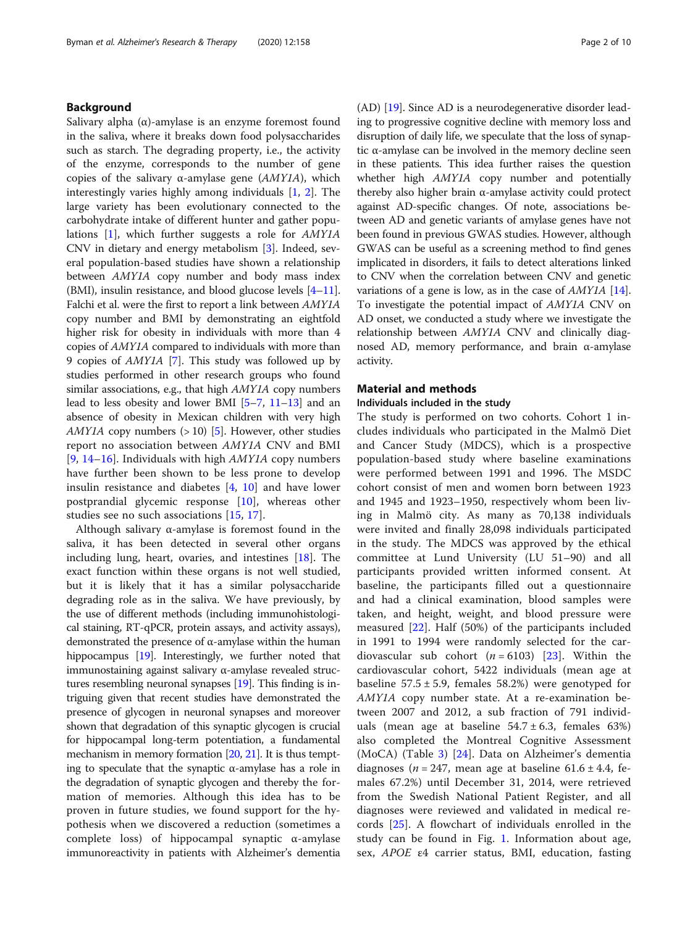# Background

Salivary alpha  $(\alpha)$ -amylase is an enzyme foremost found in the saliva, where it breaks down food polysaccharides such as starch. The degrading property, i.e., the activity of the enzyme, corresponds to the number of gene copies of the salivary α-amylase gene  $(AMYIA)$ , which interestingly varies highly among individuals [\[1](#page-8-0), [2](#page-8-0)]. The large variety has been evolutionary connected to the carbohydrate intake of different hunter and gather populations [\[1](#page-8-0)], which further suggests a role for AMY1A CNV in dietary and energy metabolism [[3\]](#page-8-0). Indeed, several population-based studies have shown a relationship between AMY1A copy number and body mass index (BMI), insulin resistance, and blood glucose levels [\[4](#page-8-0)–[11](#page-8-0)]. Falchi et al. were the first to report a link between AMY1A copy number and BMI by demonstrating an eightfold higher risk for obesity in individuals with more than 4 copies of AMY1A compared to individuals with more than 9 copies of AMY1A [\[7\]](#page-8-0). This study was followed up by studies performed in other research groups who found similar associations, e.g., that high AMY1A copy numbers lead to less obesity and lower BMI [[5](#page-8-0)–[7,](#page-8-0) [11](#page-8-0)–[13](#page-8-0)] and an absence of obesity in Mexican children with very high AMY1A copy numbers  $(>10)$  [\[5\]](#page-8-0). However, other studies report no association between AMY1A CNV and BMI [[9,](#page-8-0) [14](#page-8-0)–[16](#page-8-0)]. Individuals with high  $AMY1A$  copy numbers have further been shown to be less prone to develop insulin resistance and diabetes [\[4](#page-8-0), [10](#page-8-0)] and have lower postprandial glycemic response [[10\]](#page-8-0), whereas other studies see no such associations [[15,](#page-8-0) [17\]](#page-8-0).

Although salivary  $\alpha$ -amylase is foremost found in the saliva, it has been detected in several other organs including lung, heart, ovaries, and intestines [\[18](#page-8-0)]. The exact function within these organs is not well studied, but it is likely that it has a similar polysaccharide degrading role as in the saliva. We have previously, by the use of different methods (including immunohistological staining, RT-qPCR, protein assays, and activity assays), demonstrated the presence of α-amylase within the human hippocampus [[19](#page-8-0)]. Interestingly, we further noted that immunostaining against salivary α-amylase revealed structures resembling neuronal synapses [[19](#page-8-0)]. This finding is intriguing given that recent studies have demonstrated the presence of glycogen in neuronal synapses and moreover shown that degradation of this synaptic glycogen is crucial for hippocampal long-term potentiation, a fundamental mechanism in memory formation [\[20,](#page-8-0) [21\]](#page-8-0). It is thus tempting to speculate that the synaptic  $α$ -amylase has a role in the degradation of synaptic glycogen and thereby the formation of memories. Although this idea has to be proven in future studies, we found support for the hypothesis when we discovered a reduction (sometimes a complete loss) of hippocampal synaptic α-amylase immunoreactivity in patients with Alzheimer's dementia (AD) [[19](#page-8-0)]. Since AD is a neurodegenerative disorder leading to progressive cognitive decline with memory loss and disruption of daily life, we speculate that the loss of synaptic α-amylase can be involved in the memory decline seen in these patients. This idea further raises the question whether high AMY1A copy number and potentially thereby also higher brain α-amylase activity could protect against AD-specific changes. Of note, associations between AD and genetic variants of amylase genes have not been found in previous GWAS studies. However, although GWAS can be useful as a screening method to find genes implicated in disorders, it fails to detect alterations linked to CNV when the correlation between CNV and genetic variations of a gene is low, as in the case of AMY1A [[14](#page-8-0)]. To investigate the potential impact of AMY1A CNV on AD onset, we conducted a study where we investigate the relationship between AMY1A CNV and clinically diagnosed AD, memory performance, and brain α-amylase activity.

# Material and methods

#### Individuals included in the study

The study is performed on two cohorts. Cohort 1 includes individuals who participated in the Malmö Diet and Cancer Study (MDCS), which is a prospective population-based study where baseline examinations were performed between 1991 and 1996. The MSDC cohort consist of men and women born between 1923 and 1945 and 1923–1950, respectively whom been living in Malmö city. As many as 70,138 individuals were invited and finally 28,098 individuals participated in the study. The MDCS was approved by the ethical committee at Lund University (LU 51–90) and all participants provided written informed consent. At baseline, the participants filled out a questionnaire and had a clinical examination, blood samples were taken, and height, weight, and blood pressure were measured [[22](#page-8-0)]. Half (50%) of the participants included in 1991 to 1994 were randomly selected for the cardiovascular sub cohort  $(n = 6103)$  [\[23](#page-8-0)]. Within the cardiovascular cohort, 5422 individuals (mean age at baseline  $57.5 \pm 5.9$ , females  $58.2\%$ ) were genotyped for AMY1A copy number state. At a re-examination between 2007 and 2012, a sub fraction of 791 individuals (mean age at baseline  $54.7 \pm 6.3$ , females  $63\%)$ also completed the Montreal Cognitive Assessment (MoCA) (Table [3](#page-5-0)) [[24\]](#page-9-0). Data on Alzheimer's dementia diagnoses (*n* = 247, mean age at baseline  $61.6 \pm 4.4$ , females 67.2%) until December 31, 2014, were retrieved from the Swedish National Patient Register, and all diagnoses were reviewed and validated in medical records [\[25](#page-9-0)]. A flowchart of individuals enrolled in the study can be found in Fig. [1](#page-2-0). Information about age, sex, APOE ε4 carrier status, BMI, education, fasting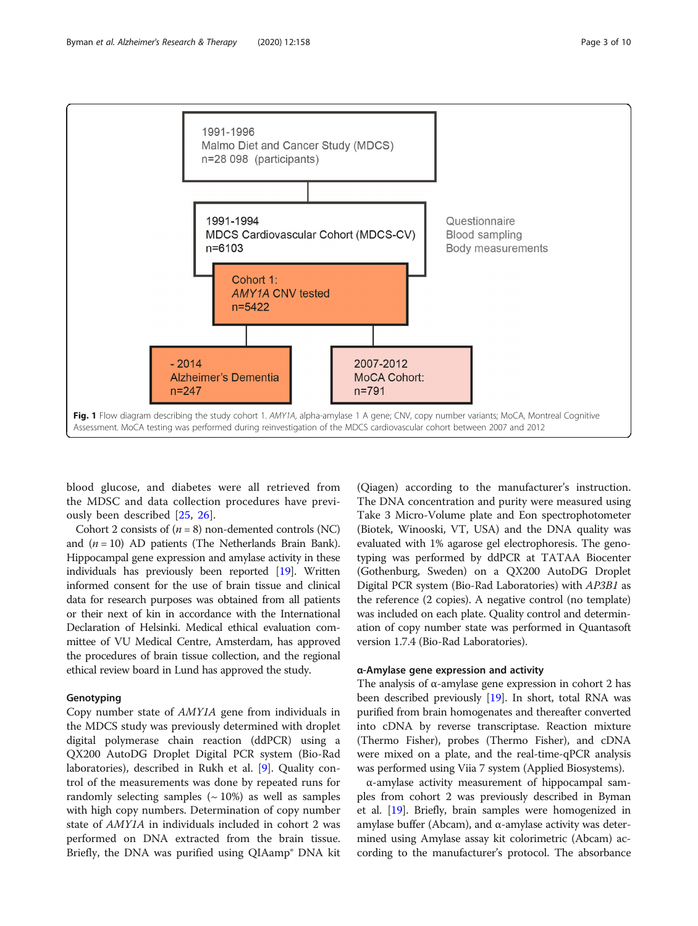<span id="page-2-0"></span>

Fig. 1 Flow diagram describing the study cohort 1. AMY1A, alpha-amylase 1 A gene; CNV, copy number variants; MoCA, Montreal Cognitive Assessment. MoCA testing was performed during reinvestigation of the MDCS cardiovascular cohort between 2007 and 2012

blood glucose, and diabetes were all retrieved from the MDSC and data collection procedures have previously been described [[25,](#page-9-0) [26\]](#page-9-0).

Cohort 2 consists of  $(n = 8)$  non-demented controls (NC) and  $(n = 10)$  AD patients (The Netherlands Brain Bank). Hippocampal gene expression and amylase activity in these individuals has previously been reported [\[19\]](#page-8-0). Written informed consent for the use of brain tissue and clinical data for research purposes was obtained from all patients or their next of kin in accordance with the International Declaration of Helsinki. Medical ethical evaluation committee of VU Medical Centre, Amsterdam, has approved the procedures of brain tissue collection, and the regional ethical review board in Lund has approved the study.

#### Genotyping

Copy number state of AMY1A gene from individuals in the MDCS study was previously determined with droplet digital polymerase chain reaction (ddPCR) using a QX200 AutoDG Droplet Digital PCR system (Bio-Rad laboratories), described in Rukh et al. [\[9](#page-8-0)]. Quality control of the measurements was done by repeated runs for randomly selecting samples  $({\sim 10\%)}$  as well as samples with high copy numbers. Determination of copy number state of AMY1A in individuals included in cohort 2 was performed on DNA extracted from the brain tissue. Briefly, the DNA was purified using QIAamp® DNA kit

(Qiagen) according to the manufacturer's instruction. The DNA concentration and purity were measured using Take 3 Micro-Volume plate and Eon spectrophotometer (Biotek, Winooski, VT, USA) and the DNA quality was evaluated with 1% agarose gel electrophoresis. The genotyping was performed by ddPCR at TATAA Biocenter (Gothenburg, Sweden) on a QX200 AutoDG Droplet Digital PCR system (Bio-Rad Laboratories) with AP3B1 as the reference (2 copies). A negative control (no template) was included on each plate. Quality control and determination of copy number state was performed in Quantasoft version 1.7.4 (Bio-Rad Laboratories).

# α-Amylase gene expression and activity

The analysis of  $\alpha$ -amylase gene expression in cohort 2 has been described previously [\[19\]](#page-8-0). In short, total RNA was purified from brain homogenates and thereafter converted into cDNA by reverse transcriptase. Reaction mixture (Thermo Fisher), probes (Thermo Fisher), and cDNA were mixed on a plate, and the real-time-qPCR analysis was performed using Viia 7 system (Applied Biosystems).

α-amylase activity measurement of hippocampal samples from cohort 2 was previously described in Byman et al. [[19](#page-8-0)]. Briefly, brain samples were homogenized in amylase buffer (Abcam), and α-amylase activity was determined using Amylase assay kit colorimetric (Abcam) according to the manufacturer's protocol. The absorbance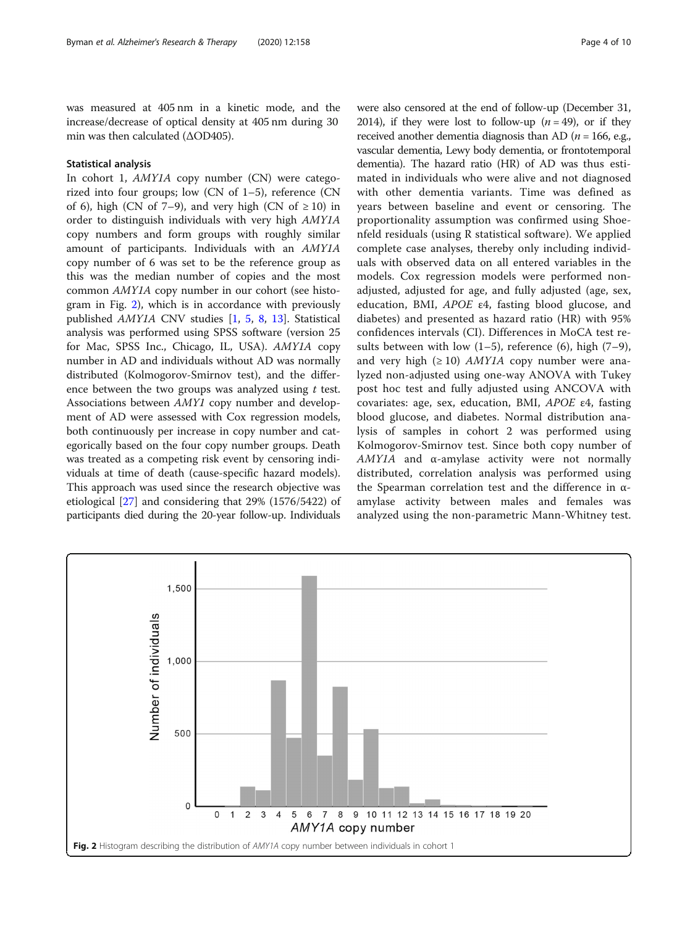was measured at 405 nm in a kinetic mode, and the increase/decrease of optical density at 405 nm during 30 min was then calculated (ΔOD405).

# Statistical analysis

In cohort 1, AMY1A copy number (CN) were categorized into four groups; low (CN of 1–5), reference (CN of 6), high (CN of 7–9), and very high (CN of  $\geq$  10) in order to distinguish individuals with very high AMY1A copy numbers and form groups with roughly similar amount of participants. Individuals with an AMY1A copy number of 6 was set to be the reference group as this was the median number of copies and the most common AMY1A copy number in our cohort (see histogram in Fig. 2), which is in accordance with previously published AMY1A CNV studies [\[1](#page-8-0), [5](#page-8-0), [8,](#page-8-0) [13\]](#page-8-0). Statistical analysis was performed using SPSS software (version 25 for Mac, SPSS Inc., Chicago, IL, USA). AMY1A copy number in AD and individuals without AD was normally distributed (Kolmogorov-Smirnov test), and the difference between the two groups was analyzed using  $t$  test. Associations between AMY1 copy number and development of AD were assessed with Cox regression models, both continuously per increase in copy number and categorically based on the four copy number groups. Death was treated as a competing risk event by censoring individuals at time of death (cause-specific hazard models). This approach was used since the research objective was etiological [[27\]](#page-9-0) and considering that 29% (1576/5422) of participants died during the 20-year follow-up. Individuals were also censored at the end of follow-up (December 31, 2014), if they were lost to follow-up  $(n = 49)$ , or if they received another dementia diagnosis than AD ( $n = 166$ , e.g., vascular dementia, Lewy body dementia, or frontotemporal dementia). The hazard ratio (HR) of AD was thus estimated in individuals who were alive and not diagnosed with other dementia variants. Time was defined as years between baseline and event or censoring. The proportionality assumption was confirmed using Shoenfeld residuals (using R statistical software). We applied complete case analyses, thereby only including individuals with observed data on all entered variables in the models. Cox regression models were performed nonadjusted, adjusted for age, and fully adjusted (age, sex, education, BMI, APOE ε4, fasting blood glucose, and diabetes) and presented as hazard ratio (HR) with 95% confidences intervals (CI). Differences in MoCA test results between with low  $(1-5)$ , reference  $(6)$ , high  $(7-9)$ , and very high ( $\geq 10$ ) *AMY1A* copy number were analyzed non-adjusted using one-way ANOVA with Tukey post hoc test and fully adjusted using ANCOVA with covariates: age, sex, education, BMI, APOE ε4, fasting blood glucose, and diabetes. Normal distribution analysis of samples in cohort 2 was performed using Kolmogorov-Smirnov test. Since both copy number of AMY1A and α-amylase activity were not normally distributed, correlation analysis was performed using the Spearman correlation test and the difference in αamylase activity between males and females was analyzed using the non-parametric Mann-Whitney test.

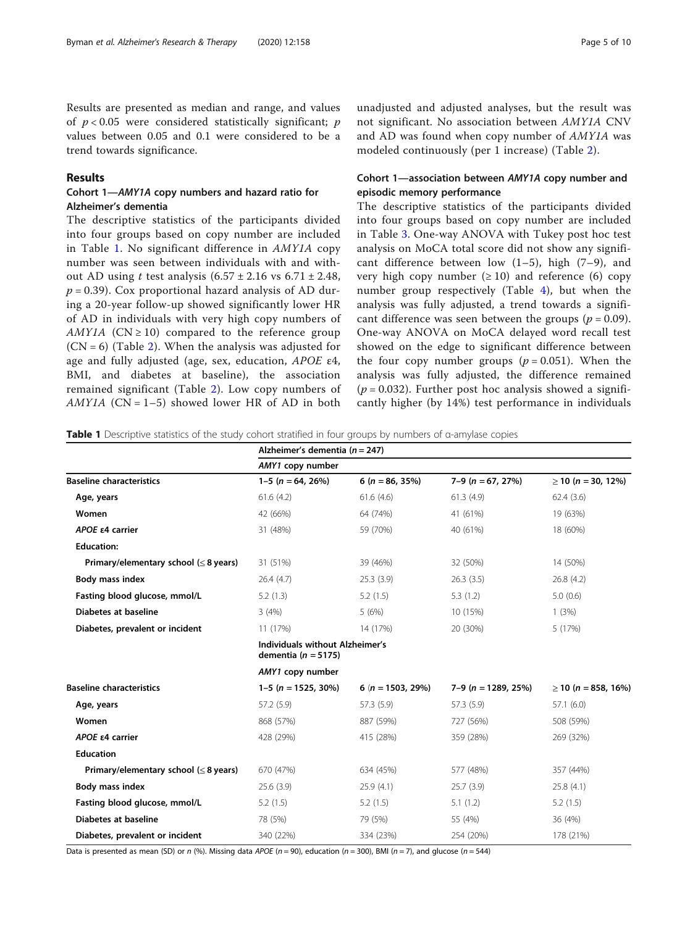Results are presented as median and range, and values of  $p < 0.05$  were considered statistically significant; p values between 0.05 and 0.1 were considered to be a trend towards significance.

# Results

# Cohort 1—AMY1A copy numbers and hazard ratio for Alzheimer's dementia

The descriptive statistics of the participants divided into four groups based on copy number are included in Table 1. No significant difference in AMY1A copy number was seen between individuals with and without AD using t test analysis  $(6.57 \pm 2.16 \text{ vs } 6.71 \pm 2.48,$  $p = 0.39$ ). Cox proportional hazard analysis of AD during a 20-year follow-up showed significantly lower HR of AD in individuals with very high copy numbers of AMY1A ( $CN \ge 10$ ) compared to the reference group  $(CN = 6)$  (Table [2](#page-5-0)). When the analysis was adjusted for age and fully adjusted (age, sex, education, APOE ε4, BMI, and diabetes at baseline), the association remained significant (Table [2](#page-5-0)). Low copy numbers of AMY1A ( $CN = 1-5$ ) showed lower HR of AD in both

unadjusted and adjusted analyses, but the result was not significant. No association between AMY1A CNV and AD was found when copy number of AMY1A was modeled continuously (per 1 increase) (Table [2](#page-5-0)).

# Cohort 1—association between AMY1A copy number and episodic memory performance

The descriptive statistics of the participants divided into four groups based on copy number are included in Table [3.](#page-5-0) One-way ANOVA with Tukey post hoc test analysis on MoCA total score did not show any significant difference between low  $(1-5)$ , high  $(7-9)$ , and very high copy number  $(\geq 10)$  and reference (6) copy number group respectively (Table [4](#page-6-0)), but when the analysis was fully adjusted, a trend towards a significant difference was seen between the groups ( $p = 0.09$ ). One-way ANOVA on MoCA delayed word recall test showed on the edge to significant difference between the four copy number groups  $(p = 0.051)$ . When the analysis was fully adjusted, the difference remained  $(p = 0.032)$ . Further post hoc analysis showed a significantly higher (by 14%) test performance in individuals

Table 1 Descriptive statistics of the study cohort stratified in four groups by numbers of α-amylase copies

|                                             | Alzheimer's dementia ( $n = 247$ )                         |                       |                       |                          |  |
|---------------------------------------------|------------------------------------------------------------|-----------------------|-----------------------|--------------------------|--|
|                                             | AMY1 copy number                                           |                       |                       |                          |  |
| <b>Baseline characteristics</b>             | $1-5$ (n = 64, 26%)                                        | $6(n = 86, 35\%)$     | $7-9$ (n = 67, 27%)   | $\geq$ 10 (n = 30, 12%)  |  |
| Age, years                                  | 61.6(4.2)                                                  | 61.6(4.6)             | 61.3(4.9)             | 62.4(3.6)                |  |
| Women                                       | 42 (66%)                                                   | 64 (74%)              | 41 (61%)              | 19 (63%)                 |  |
| APOE ε4 carrier                             | 31 (48%)                                                   | 59 (70%)              | 40 (61%)              | 18 (60%)                 |  |
| <b>Education:</b>                           |                                                            |                       |                       |                          |  |
| Primary/elementary school ( $\leq$ 8 years) | 31 (51%)                                                   | 39 (46%)              | 32 (50%)              | 14 (50%)                 |  |
| Body mass index                             | 26.4(4.7)                                                  | 25.3(3.9)             | 26.3(3.5)             | 26.8(4.2)                |  |
| Fasting blood glucose, mmol/L               | 5.2(1.3)                                                   | 5.2(1.5)              | 5.3(1.2)              | 5.0(0.6)                 |  |
| Diabetes at baseline                        | 3(4%)                                                      | 5(6%)                 | 10 (15%)              | 1(3%)                    |  |
| Diabetes, prevalent or incident             | 11 (17%)                                                   | 14 (17%)              | 20 (30%)              | 5 (17%)                  |  |
|                                             | Individuals without Alzheimer's<br>dementia ( $n = 5175$ ) |                       |                       |                          |  |
|                                             | AMY1 copy number                                           |                       |                       |                          |  |
| <b>Baseline characteristics</b>             | $1-5$ (n = 1525, 30%)                                      | 6 ( $n = 1503$ , 29%) | $7-9$ (n = 1289, 25%) | $\geq$ 10 (n = 858, 16%) |  |
| Age, years                                  | 57.2 (5.9)                                                 | 57.3 (5.9)            | 57.3 (5.9)            | 57.1(6.0)                |  |
| Women                                       | 868 (57%)                                                  | 887 (59%)             | 727 (56%)             | 508 (59%)                |  |
| APOE $\epsilon$ 4 carrier                   | 428 (29%)                                                  | 415 (28%)             | 359 (28%)             | 269 (32%)                |  |
| <b>Education</b>                            |                                                            |                       |                       |                          |  |
| Primary/elementary school ( $\leq$ 8 years) | 670 (47%)                                                  | 634 (45%)             | 577 (48%)             | 357 (44%)                |  |
| Body mass index                             | 25.6(3.9)                                                  | 25.9(4.1)             | 25.7(3.9)             | 25.8(4.1)                |  |
| Fasting blood glucose, mmol/L               | 5.2(1.5)                                                   | 5.2(1.5)              | 5.1(1.2)              | 5.2(1.5)                 |  |
| Diabetes at baseline                        | 78 (5%)                                                    | 79 (5%)               | 55 (4%)               | 36 (4%)                  |  |
| Diabetes, prevalent or incident             | 340 (22%)                                                  | 334 (23%)             | 254 (20%)             | 178 (21%)                |  |

Data is presented as mean (SD) or n (%). Missing data APOE (n = 90), education (n = 300), BMI (n = 7), and glucose (n = 544)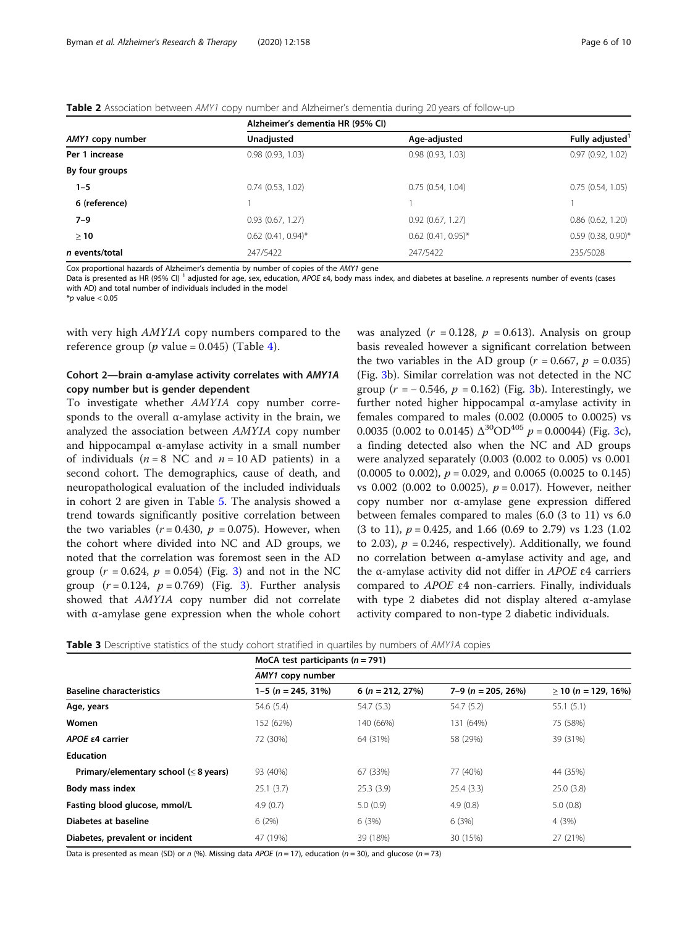#### <span id="page-5-0"></span>Table 2 Association between AMY1 copy number and Alzheimer's dementia during 20 years of follow-up

|                  | Alzheimer's dementia HR (95% CI) |                       |                      |  |
|------------------|----------------------------------|-----------------------|----------------------|--|
| AMY1 copy number | Unadjusted                       | Age-adjusted          | Fully adjusted'      |  |
| Per 1 increase   | 0.98(0.93, 1.03)                 | 0.98(0.93, 1.03)      | 0.97(0.92, 1.02)     |  |
| By four groups   |                                  |                       |                      |  |
| $1 - 5$          | 0.74(0.53, 1.02)                 | 0.75(0.54, 1.04)      | 0.75(0.54, 1.05)     |  |
| 6 (reference)    |                                  |                       |                      |  |
| $7 - 9$          | 0.93(0.67, 1.27)                 | $0.92$ $(0.67, 1.27)$ | 0.86(0.62, 1.20)     |  |
| $\geq 10$        | $0.62$ (0.41, 0.94)*             | $0.62$ (0.41, 0.95)*  | $0.59$ (0.38, 0.90)* |  |
| n events/total   | 247/5422                         | 247/5422              | 235/5028             |  |

Cox proportional hazards of Alzheimer's dementia by number of copies of the AMY1 gene

Data is presented as HR (95% CI) <sup>1</sup> adjusted for age, sex, education, APOE ε4, body mass index, and diabetes at baseline. n represents number of events (cases with AD) and total number of individuals included in the model

 $*$ *p* value < 0.05

with very high *AMY1A* copy numbers compared to the reference group ( $p$  value = 0.0[4](#page-6-0)5) (Table 4).

# Cohort 2—brain α-amylase activity correlates with AMY1A copy number but is gender dependent

To investigate whether AMY1A copy number corresponds to the overall  $\alpha$ -amylase activity in the brain, we analyzed the association between AMY1A copy number and hippocampal  $\alpha$ -amylase activity in a small number of individuals ( $n = 8$  NC and  $n = 10$  AD patients) in a second cohort. The demographics, cause of death, and neuropathological evaluation of the included individuals in cohort 2 are given in Table [5](#page-6-0). The analysis showed a trend towards significantly positive correlation between the two variables ( $r = 0.430$ ,  $p = 0.075$ ). However, when the cohort where divided into NC and AD groups, we noted that the correlation was foremost seen in the AD group ( $r = 0.624$ ,  $p = 0.054$ ) (Fig. [3\)](#page-7-0) and not in the NC group  $(r = 0.124, p = 0.769)$  (Fig. [3\)](#page-7-0). Further analysis showed that AMY1A copy number did not correlate with α-amylase gene expression when the whole cohort

was analyzed ( $r = 0.128$ ,  $p = 0.613$ ). Analysis on group basis revealed however a significant correlation between the two variables in the AD group ( $r = 0.667$ ,  $p = 0.035$ ) (Fig. [3b](#page-7-0)). Similar correlation was not detected in the NC group  $(r = -0.546, p = 0.162)$  (Fig. [3b](#page-7-0)). Interestingly, we further noted higher hippocampal α-amylase activity in females compared to males (0.002 (0.0005 to 0.0025) vs 0.0035 (0.002 to 0.0145)  $\Delta^{30}$ OD<sup>405</sup> p = 0.00044) (Fig. [3c](#page-7-0)), a finding detected also when the NC and AD groups were analyzed separately (0.003 (0.002 to 0.005) vs 0.001  $(0.0005 \text{ to } 0.002), p = 0.029, \text{ and } 0.0065 \ (0.0025 \text{ to } 0.145)$ vs 0.002 (0.002 to 0.0025),  $p = 0.017$ ). However, neither copy number nor α-amylase gene expression differed between females compared to males (6.0 (3 to 11) vs 6.0  $(3 \text{ to } 11)$ ,  $p = 0.425$ , and 1.66  $(0.69 \text{ to } 2.79)$  vs 1.23  $(1.02$ to 2.03),  $p = 0.246$ , respectively). Additionally, we found no correlation between α-amylase activity and age, and the α-amylase activity did not differ in *APOE*  $ε4$  carriers compared to  $APOE$   $\varepsilon$ 4 non-carriers. Finally, individuals with type 2 diabetes did not display altered α-amylase activity compared to non-type 2 diabetic individuals.

**Table 3** Descriptive statistics of the study cohort stratified in quartiles by numbers of AMY1A copies

|                                            | MoCA test participants ( $n = 791$ )<br>AMY1 copy number |                      |                      |                          |  |
|--------------------------------------------|----------------------------------------------------------|----------------------|----------------------|--------------------------|--|
| <b>Baseline characteristics</b>            |                                                          |                      |                      |                          |  |
|                                            | $1-5$ (n = 245, 31%)                                     | 6 ( $n = 212, 27\%)$ | $7-9$ (n = 205, 26%) | $\geq$ 10 (n = 129, 16%) |  |
| Age, years                                 | 54.6 (5.4)                                               | 54.7(5.3)            | 54.7(5.2)            | 55.1(5.1)                |  |
| Women                                      | 152 (62%)                                                | 140 (66%)            | 131 (64%)            | 75 (58%)                 |  |
| <b>APOE £4 carrier</b>                     | 72 (30%)                                                 | 64 (31%)             | 58 (29%)             | 39 (31%)                 |  |
| <b>Education</b>                           |                                                          |                      |                      |                          |  |
| Primary/elementary school $(\leq 8$ years) | 93 (40%)                                                 | 67 (33%)             | 77 (40%)             | 44 (35%)                 |  |
| Body mass index                            | 25.1(3.7)                                                | 25.3(3.9)            | 25.4(3.3)            | 25.0(3.8)                |  |
| Fasting blood glucose, mmol/L              | 4.9(0.7)                                                 | 5.0(0.9)             | 4.9(0.8)             | 5.0(0.8)                 |  |
| Diabetes at baseline                       | 6(2%)                                                    | 6(3%)                | 6(3%)                | 4 (3%)                   |  |
| Diabetes, prevalent or incident            | 47 (19%)                                                 | 39 (18%)             | 30 (15%)             | 27 (21%)                 |  |

Data is presented as mean (SD) or n (%). Missing data APOE (n = 17), education (n = 30), and glucose (n = 73)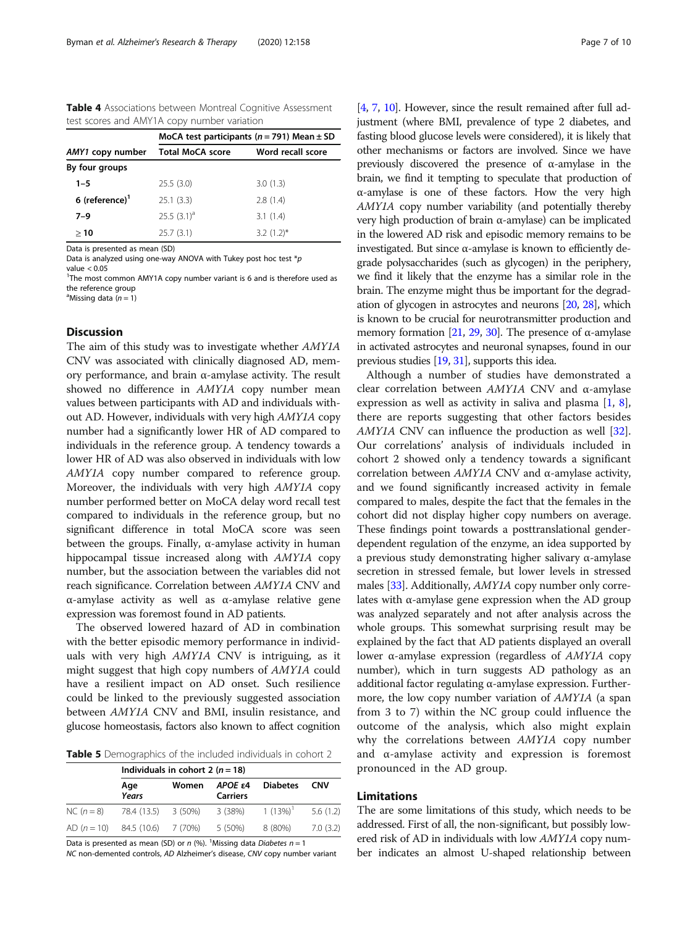<span id="page-6-0"></span>Table 4 Associations between Montreal Cognitive Assessment test scores and AMY1A copy number variation

|                            | MoCA test participants ( $n = 791$ ) Mean $\pm$ SD |                   |  |  |
|----------------------------|----------------------------------------------------|-------------------|--|--|
| AMY1 copy number           | <b>Total MoCA score</b>                            | Word recall score |  |  |
| By four groups             |                                                    |                   |  |  |
| $1 - 5$                    | 25.5(3.0)                                          | 3.0(1.3)          |  |  |
| 6 (reference) <sup>1</sup> | 25.1(3.3)                                          | 2.8(1.4)          |  |  |
| $7 - 9$                    | $25.5(3.1)^a$                                      | 3.1(1.4)          |  |  |
| >10                        | 25.7(3.1)                                          | $3.2(1.2)$ *      |  |  |

Data is presented as mean (SD)

Data is analyzed using one-way ANOVA with Tukey post hoc test  $*p$ value < 0.05

<sup>1</sup>The most common AMY1A copy number variant is 6 and is therefore used as the reference group

<sup>a</sup>Missing data ( $n = 1$ )

# Discussion

The aim of this study was to investigate whether AMY1A CNV was associated with clinically diagnosed AD, memory performance, and brain α-amylase activity. The result showed no difference in AMY1A copy number mean values between participants with AD and individuals without AD. However, individuals with very high AMY1A copy number had a significantly lower HR of AD compared to individuals in the reference group. A tendency towards a lower HR of AD was also observed in individuals with low AMY1A copy number compared to reference group. Moreover, the individuals with very high AMY1A copy number performed better on MoCA delay word recall test compared to individuals in the reference group, but no significant difference in total MoCA score was seen between the groups. Finally,  $\alpha$ -amylase activity in human hippocampal tissue increased along with *AMY1A* copy number, but the association between the variables did not reach significance. Correlation between AMY1A CNV and α-amylase activity as well as α-amylase relative gene expression was foremost found in AD patients.

The observed lowered hazard of AD in combination with the better episodic memory performance in individuals with very high AMY1A CNV is intriguing, as it might suggest that high copy numbers of AMY1A could have a resilient impact on AD onset. Such resilience could be linked to the previously suggested association between AMY1A CNV and BMI, insulin resistance, and glucose homeostasis, factors also known to affect cognition

Table 5 Demographics of the included individuals in cohort 2

|                                   | Individuals in cohort 2 ( $n = 18$ ) |       |                            |                 |            |
|-----------------------------------|--------------------------------------|-------|----------------------------|-----------------|------------|
|                                   | Age<br>Years                         | Women | APOE ε4<br><b>Carriers</b> | <b>Diabetes</b> | <b>CNV</b> |
| NC $(n = 8)$ 78.4 (13.5) 3 (50%)  |                                      |       | 3 (38%)                    | $1(13\%)^1$     | 5.6(1.2)   |
| AD $(n = 10)$ 84.5 (10.6) 7 (70%) |                                      |       | 5 (50%)                    | 8 (80%)         | 7.0(3.2)   |

Data is presented as mean (SD) or  $n$  (%). <sup>1</sup> Missing data *Diabetes n* = 1

NC non-demented controls, AD Alzheimer's disease, CNV copy number variant

[[4](#page-8-0), [7](#page-8-0), [10](#page-8-0)]. However, since the result remained after full adjustment (where BMI, prevalence of type 2 diabetes, and fasting blood glucose levels were considered), it is likely that other mechanisms or factors are involved. Since we have previously discovered the presence of α-amylase in the brain, we find it tempting to speculate that production of α-amylase is one of these factors. How the very high AMY1A copy number variability (and potentially thereby very high production of brain α-amylase) can be implicated in the lowered AD risk and episodic memory remains to be investigated. But since α-amylase is known to efficiently degrade polysaccharides (such as glycogen) in the periphery, we find it likely that the enzyme has a similar role in the brain. The enzyme might thus be important for the degradation of glycogen in astrocytes and neurons [\[20](#page-8-0), [28\]](#page-9-0), which is known to be crucial for neurotransmitter production and memory formation [[21,](#page-8-0) [29,](#page-9-0) [30](#page-9-0)]. The presence of  $\alpha$ -amylase in activated astrocytes and neuronal synapses, found in our previous studies [\[19](#page-8-0), [31](#page-9-0)], supports this idea.

Although a number of studies have demonstrated a clear correlation between  $AMY1A$  CNV and α-amylase expression as well as activity in saliva and plasma  $[1, 8]$  $[1, 8]$  $[1, 8]$  $[1, 8]$  $[1, 8]$ , there are reports suggesting that other factors besides AMY1A CNV can influence the production as well [\[32](#page-9-0)]. Our correlations' analysis of individuals included in cohort 2 showed only a tendency towards a significant correlation between AMY1A CNV and α-amylase activity, and we found significantly increased activity in female compared to males, despite the fact that the females in the cohort did not display higher copy numbers on average. These findings point towards a posttranslational genderdependent regulation of the enzyme, an idea supported by a previous study demonstrating higher salivary α-amylase secretion in stressed female, but lower levels in stressed males [\[33\]](#page-9-0). Additionally, *AMY1A* copy number only correlates with α-amylase gene expression when the AD group was analyzed separately and not after analysis across the whole groups. This somewhat surprising result may be explained by the fact that AD patients displayed an overall lower α-amylase expression (regardless of AMY1A copy number), which in turn suggests AD pathology as an additional factor regulating α-amylase expression. Furthermore, the low copy number variation of AMY1A (a span from 3 to 7) within the NC group could influence the outcome of the analysis, which also might explain why the correlations between AMY1A copy number and α-amylase activity and expression is foremost pronounced in the AD group.

### Limitations

The are some limitations of this study, which needs to be addressed. First of all, the non-significant, but possibly lowered risk of AD in individuals with low AMY1A copy number indicates an almost U-shaped relationship between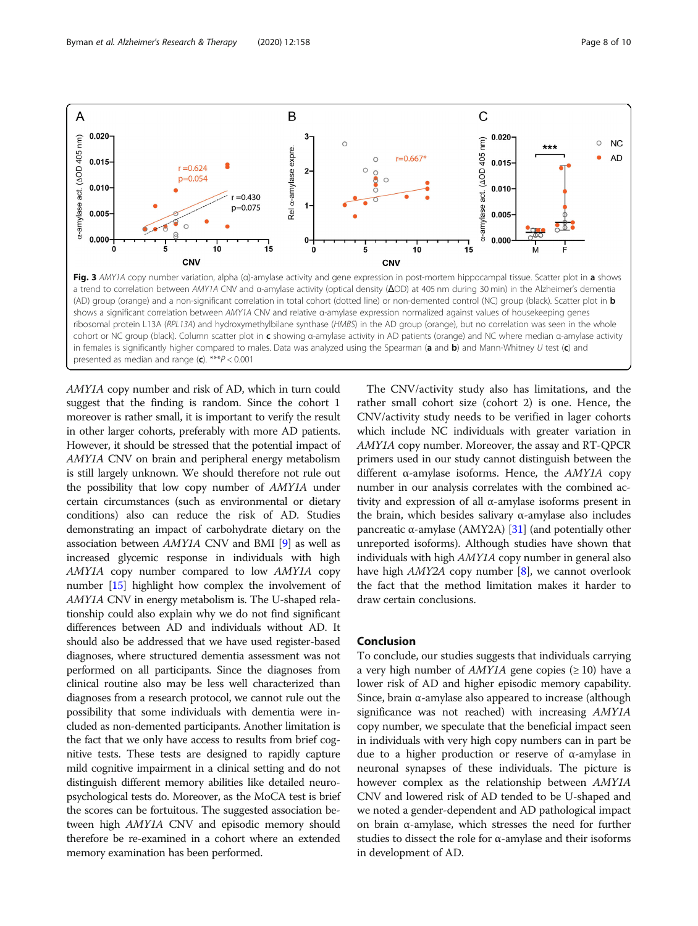<span id="page-7-0"></span>

ribosomal protein L13A (RPL13A) and hydroxymethylbilane synthase (HMBS) in the AD group (orange), but no correlation was seen in the whole cohort or NC group (black). Column scatter plot in c showing α-amylase activity in AD patients (orange) and NC where median α-amylase activity in females is significantly higher compared to males. Data was analyzed using the Spearman (a and  $b$ ) and Mann-Whitney U test (c) and presented as median and range  $(c)$ . \*\*\* $P < 0.001$ 

AMY1A copy number and risk of AD, which in turn could suggest that the finding is random. Since the cohort 1 moreover is rather small, it is important to verify the result in other larger cohorts, preferably with more AD patients. However, it should be stressed that the potential impact of AMY1A CNV on brain and peripheral energy metabolism is still largely unknown. We should therefore not rule out the possibility that low copy number of AMY1A under certain circumstances (such as environmental or dietary conditions) also can reduce the risk of AD. Studies demonstrating an impact of carbohydrate dietary on the association between AMY1A CNV and BMI [[9\]](#page-8-0) as well as increased glycemic response in individuals with high AMY1A copy number compared to low AMY1A copy number [[15](#page-8-0)] highlight how complex the involvement of AMY1A CNV in energy metabolism is. The U-shaped relationship could also explain why we do not find significant differences between AD and individuals without AD. It should also be addressed that we have used register-based diagnoses, where structured dementia assessment was not performed on all participants. Since the diagnoses from clinical routine also may be less well characterized than diagnoses from a research protocol, we cannot rule out the possibility that some individuals with dementia were included as non-demented participants. Another limitation is the fact that we only have access to results from brief cognitive tests. These tests are designed to rapidly capture mild cognitive impairment in a clinical setting and do not distinguish different memory abilities like detailed neuropsychological tests do. Moreover, as the MoCA test is brief the scores can be fortuitous. The suggested association between high AMY1A CNV and episodic memory should therefore be re-examined in a cohort where an extended memory examination has been performed.

The CNV/activity study also has limitations, and the rather small cohort size (cohort 2) is one. Hence, the CNV/activity study needs to be verified in lager cohorts which include NC individuals with greater variation in AMY1A copy number. Moreover, the assay and RT-QPCR primers used in our study cannot distinguish between the different α-amylase isoforms. Hence, the AMY1A copy number in our analysis correlates with the combined activity and expression of all α-amylase isoforms present in the brain, which besides salivary α-amylase also includes pancreatic α-amylase (AMY2A) [[31\]](#page-9-0) (and potentially other unreported isoforms). Although studies have shown that individuals with high AMY1A copy number in general also have high  $AMY2A$  copy number [[8](#page-8-0)], we cannot overlook the fact that the method limitation makes it harder to draw certain conclusions.

# Conclusion

To conclude, our studies suggests that individuals carrying a very high number of  $AMY1A$  gene copies ( $\geq 10$ ) have a lower risk of AD and higher episodic memory capability. Since, brain  $\alpha$ -amylase also appeared to increase (although significance was not reached) with increasing AMY1A copy number, we speculate that the beneficial impact seen in individuals with very high copy numbers can in part be due to a higher production or reserve of α-amylase in neuronal synapses of these individuals. The picture is however complex as the relationship between AMY1A CNV and lowered risk of AD tended to be U-shaped and we noted a gender-dependent and AD pathological impact on brain α-amylase, which stresses the need for further studies to dissect the role for  $\alpha$ -amylase and their isoforms in development of AD.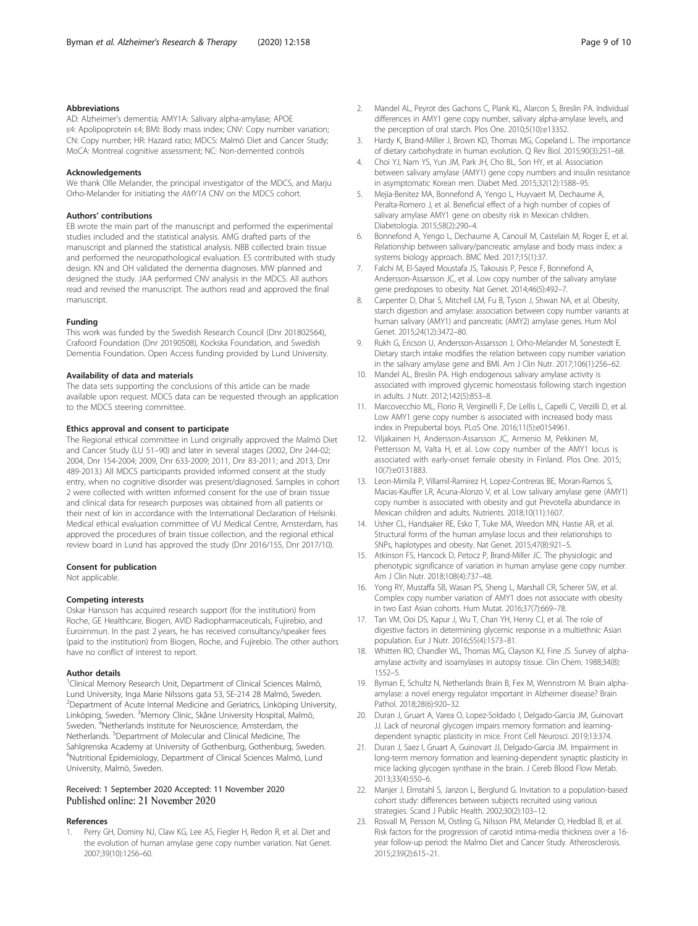#### <span id="page-8-0"></span>Abbreviations

AD: Alzheimer's dementia; AMY1A: Salivary alpha-amylase; APOE ε4: Apolipoprotein ε4; BMI: Body mass index; CNV: Copy number variation; CN: Copy number; HR: Hazard ratio; MDCS: Malmö Diet and Cancer Study; MoCA: Montreal cognitive assessment; NC: Non-demented controls

#### Acknowledgements

We thank Olle Melander, the principal investigator of the MDCS, and Marju Orho-Melander for initiating the AMY1A CNV on the MDCS cohort.

#### Authors' contributions

EB wrote the main part of the manuscript and performed the experimental studies included and the statistical analysis. AMG drafted parts of the manuscript and planned the statistical analysis. NBB collected brain tissue and performed the neuropathological evaluation. ES contributed with study design. KN and OH validated the dementia diagnoses. MW planned and designed the study. JAA performed CNV analysis in the MDCS. All authors read and revised the manuscript. The authors read and approved the final manuscript.

#### Funding

This work was funded by the Swedish Research Council (Dnr 201802564), Crafoord Foundation (Dnr 20190508), Kockska Foundation, and Swedish Dementia Foundation. Open Access funding provided by Lund University.

#### Availability of data and materials

The data sets supporting the conclusions of this article can be made available upon request. MDCS data can be requested through an application to the MDCS steering committee.

#### Ethics approval and consent to participate

The Regional ethical committee in Lund originally approved the Malmö Diet and Cancer Study (LU 51–90) and later in several stages (2002, Dnr 244-02; 2004, Dnr 154-2004; 2009, Dnr 633-2009; 2011, Dnr 83-2011; and 2013, Dnr 489-2013.) All MDCS participants provided informed consent at the study entry, when no cognitive disorder was present/diagnosed. Samples in cohort 2 were collected with written informed consent for the use of brain tissue and clinical data for research purposes was obtained from all patients or their next of kin in accordance with the International Declaration of Helsinki. Medical ethical evaluation committee of VU Medical Centre, Amsterdam, has approved the procedures of brain tissue collection, and the regional ethical review board in Lund has approved the study (Dnr 2016/155, Dnr 2017/10).

#### Consent for publication

Not applicable.

#### Competing interests

Oskar Hansson has acquired research support (for the institution) from Roche, GE Healthcare, Biogen, AVID Radiopharmaceuticals, Fujirebio, and Euroimmun. In the past 2 years, he has received consultancy/speaker fees (paid to the institution) from Biogen, Roche, and Fujirebio. The other authors have no conflict of interest to report.

#### Author details

<sup>1</sup>Clinical Memory Research Unit, Department of Clinical Sciences Malmö, Lund University, Inga Marie Nilssons gata 53, SE-214 28 Malmö, Sweden. 2 Department of Acute Internal Medicine and Geriatrics, Linköping University, Linköping, Sweden. <sup>3</sup>Memory Clinic, Skåne University Hospital, Malmö, Sweden. <sup>4</sup>Netherlands Institute for Neuroscience, Amsterdam, the Netherlands. <sup>5</sup>Department of Molecular and Clinical Medicine, The Sahlgrenska Academy at University of Gothenburg, Gothenburg, Sweden. <sup>6</sup>Nutritional Epidemiology, Department of Clinical Sciences Malmö, Lund University, Malmö, Sweden.

#### Received: 1 September 2020 Accepted: 11 November 2020 Published online: 21 November 2020

#### References

Perry GH, Dominy NJ, Claw KG, Lee AS, Fiegler H, Redon R, et al. Diet and the evolution of human amylase gene copy number variation. Nat Genet. 2007;39(10):1256–60.

- 2. Mandel AL, Peyrot des Gachons C, Plank KL, Alarcon S, Breslin PA. Individual differences in AMY1 gene copy number, salivary alpha-amylase levels, and the perception of oral starch. Plos One. 2010;5(10):e13352.
- 3. Hardy K, Brand-Miller J, Brown KD, Thomas MG, Copeland L. The importance of dietary carbohydrate in human evolution. Q Rev Biol. 2015;90(3):251–68.
- 4. Choi YJ, Nam YS, Yun JM, Park JH, Cho BL, Son HY, et al. Association between salivary amylase (AMY1) gene copy numbers and insulin resistance in asymptomatic Korean men. Diabet Med. 2015;32(12):1588–95.
- 5. Mejia-Benitez MA, Bonnefond A, Yengo L, Huyvaert M, Dechaume A, Peralta-Romero J, et al. Beneficial effect of a high number of copies of salivary amylase AMY1 gene on obesity risk in Mexican children. Diabetologia. 2015;58(2):290–4.
- 6. Bonnefond A, Yengo L, Dechaume A, Canouil M, Castelain M, Roger E, et al. Relationship between salivary/pancreatic amylase and body mass index: a systems biology approach. BMC Med. 2017;15(1):37.
- 7. Falchi M, El-Sayed Moustafa JS, Takousis P, Pesce F, Bonnefond A, Andersson-Assarsson JC, et al. Low copy number of the salivary amylase gene predisposes to obesity. Nat Genet. 2014;46(5):492–7.
- 8. Carpenter D, Dhar S, Mitchell LM, Fu B, Tyson J, Shwan NA, et al. Obesity, starch digestion and amylase: association between copy number variants at human salivary (AMY1) and pancreatic (AMY2) amylase genes. Hum Mol Genet. 2015;24(12):3472–80.
- 9. Rukh G, Ericson U, Andersson-Assarsson J, Orho-Melander M, Sonestedt E. Dietary starch intake modifies the relation between copy number variation in the salivary amylase gene and BMI. Am J Clin Nutr. 2017;106(1):256–62.
- 10. Mandel AL, Breslin PA. High endogenous salivary amylase activity is associated with improved glycemic homeostasis following starch ingestion in adults. J Nutr. 2012;142(5):853–8.
- 11. Marcovecchio ML, Florio R, Verginelli F, De Lellis L, Capelli C, Verzilli D, et al. Low AMY1 gene copy number is associated with increased body mass index in Prepubertal boys. PLoS One. 2016;11(5):e0154961.
- 12. Viljakainen H, Andersson-Assarsson JC, Armenio M, Pekkinen M, Pettersson M, Valta H, et al. Low copy number of the AMY1 locus is associated with early-onset female obesity in Finland. Plos One. 2015; 10(7):e0131883.
- 13. Leon-Mimila P, Villamil-Ramirez H, Lopez-Contreras BE, Moran-Ramos S, Macias-Kauffer LR, Acuna-Alonzo V, et al. Low salivary amylase gene (AMY1) copy number is associated with obesity and gut Prevotella abundance in Mexican children and adults. Nutrients. 2018;10(11):1607.
- 14. Usher CL, Handsaker RE, Esko T, Tuke MA, Weedon MN, Hastie AR, et al. Structural forms of the human amylase locus and their relationships to SNPs, haplotypes and obesity. Nat Genet. 2015;47(8):921–5.
- 15. Atkinson FS, Hancock D, Petocz P, Brand-Miller JC. The physiologic and phenotypic significance of variation in human amylase gene copy number. Am J Clin Nutr. 2018;108(4):737–48.
- 16. Yong RY, Mustaffa SB, Wasan PS, Sheng L, Marshall CR, Scherer SW, et al. Complex copy number variation of AMY1 does not associate with obesity in two East Asian cohorts. Hum Mutat. 2016;37(7):669–78.
- 17. Tan VM, Ooi DS, Kapur J, Wu T, Chan YH, Henry CJ, et al. The role of digestive factors in determining glycemic response in a multiethnic Asian population. Eur J Nutr. 2016;55(4):1573–81.
- 18. Whitten RO, Chandler WL, Thomas MG, Clayson KJ, Fine JS. Survey of alphaamylase activity and isoamylases in autopsy tissue. Clin Chem. 1988;34(8): 1552–5.
- 19. Byman E, Schultz N, Netherlands Brain B, Fex M, Wennstrom M. Brain alphaamylase: a novel energy regulator important in Alzheimer disease? Brain Pathol. 2018;28(6):920–32.
- 20. Duran J, Gruart A, Varea O, Lopez-Soldado I, Delgado-Garcia JM, Guinovart JJ. Lack of neuronal glycogen impairs memory formation and learningdependent synaptic plasticity in mice. Front Cell Neurosci. 2019;13:374.
- 21. Duran J, Saez I, Gruart A, Guinovart JJ, Delgado-Garcia JM. Impairment in long-term memory formation and learning-dependent synaptic plasticity in mice lacking glycogen synthase in the brain. J Cereb Blood Flow Metab. 2013;33(4):550–6.
- 22. Manjer J, Elmstahl S, Janzon L, Berglund G. Invitation to a population-based cohort study: differences between subjects recruited using various strategies. Scand J Public Health. 2002;30(2):103–12.
- 23. Rosvall M, Persson M, Ostling G, Nilsson PM, Melander O, Hedblad B, et al. Risk factors for the progression of carotid intima-media thickness over a 16 year follow-up period: the Malmo Diet and Cancer Study. Atherosclerosis. 2015;239(2):615–21.